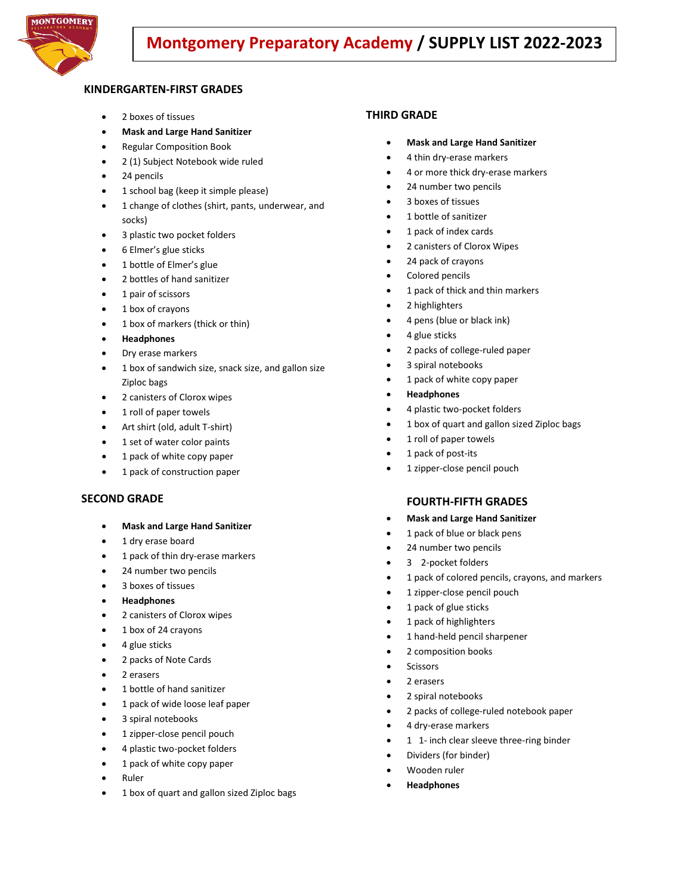

# **Montgomery Preparatory Academy / SUPPLY LIST 2022-2023**

# **KINDERGARTEN-FIRST GRADES**

- 2 boxes of tissues
- **Mask and Large Hand Sanitizer**
- Regular Composition Book
- 2 (1) Subject Notebook wide ruled
- 24 pencils
- 1 school bag (keep it simple please)
- 1 change of clothes (shirt, pants, underwear, and socks)
- 3 plastic two pocket folders
- 6 Elmer's glue sticks
- 1 bottle of Elmer's glue
- 2 bottles of hand sanitizer
- 1 pair of scissors
- 1 box of crayons
- 1 box of markers (thick or thin)
- **Headphones**
- Dry erase markers
- 1 box of sandwich size, snack size, and gallon size Ziploc bags
- 2 canisters of Clorox wipes
- 1 roll of paper towels
- Art shirt (old, adult T-shirt)
- 1 set of water color paints
- 1 pack of white copy paper
- 1 pack of construction paper

#### **SECOND GRADE**

- **Mask and Large Hand Sanitizer**
- 1 dry erase board
- 1 pack of thin dry-erase markers
- 24 number two pencils
- 3 boxes of tissues
- **Headphones**
- 2 canisters of Clorox wipes
- 1 box of 24 crayons
- 4 glue sticks
- 2 packs of Note Cards
- 2 erasers
- 1 bottle of hand sanitizer
- 1 pack of wide loose leaf paper
- 3 spiral notebooks
- 1 zipper-close pencil pouch
- 4 plastic two-pocket folders
- 1 pack of white copy paper
- Ruler
- 1 box of quart and gallon sized Ziploc bags

### **THIRD GRADE**

- **Mask and Large Hand Sanitizer**
- 4 thin dry-erase markers
- 4 or more thick dry-erase markers
- 24 number two pencils
- 3 boxes of tissues
- 1 bottle of sanitizer
- 1 pack of index cards
- 2 canisters of Clorox Wipes
- 24 pack of crayons
- Colored pencils
- 1 pack of thick and thin markers
- 2 highlighters
- 4 pens (blue or black ink)
- 4 glue sticks
- 2 packs of college-ruled paper
- 3 spiral notebooks
- 1 pack of white copy paper
- **Headphones**
- 4 plastic two-pocket folders
- 1 box of quart and gallon sized Ziploc bags
- 1 roll of paper towels
- 1 pack of post-its
- 1 zipper-close pencil pouch

#### **FOURTH-FIFTH GRADES**

- **Mask and Large Hand Sanitizer**
- 1 pack of blue or black pens
- 24 number two pencils
- 3 2-pocket folders
- 1 pack of colored pencils, crayons, and markers
- 1 zipper-close pencil pouch
- 1 pack of glue sticks
- 1 pack of highlighters
- 1 hand-held pencil sharpener
- 2 composition books
- **Scissors**
- 2 erasers
- 2 spiral notebooks
- 2 packs of college-ruled notebook paper
- 4 dry-erase markers
- 1 1- inch clear sleeve three-ring binder
- Dividers (for binder)
- Wooden ruler
- **Headphones**